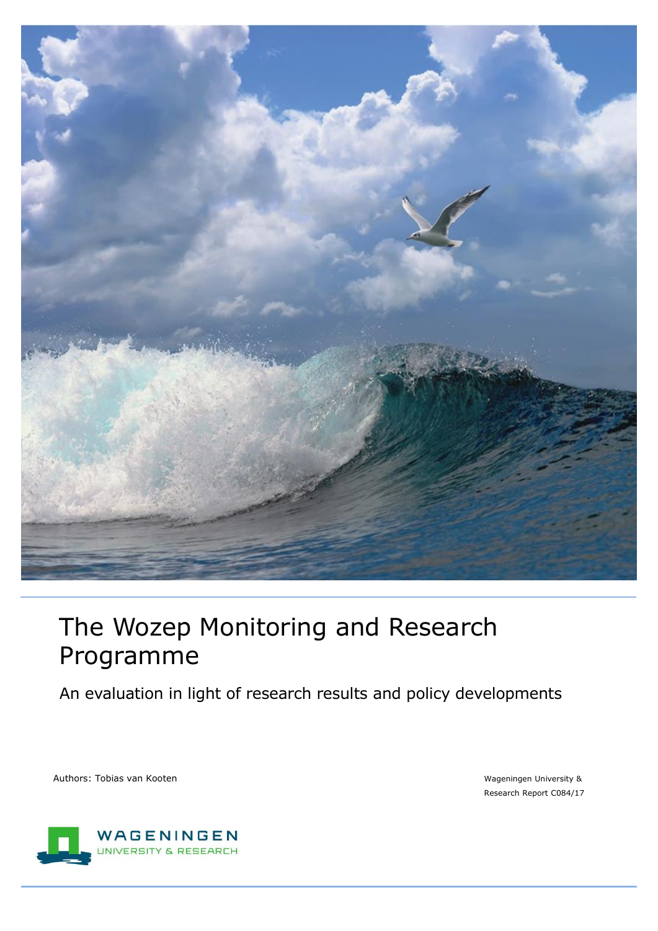

## The Wozep Monitoring and Research Programme

An evaluation in light of research results and policy developments

Authors: Tobias van Kooten Wageningen University & Nageningen University & Nageningen University &

Research Report C084/17

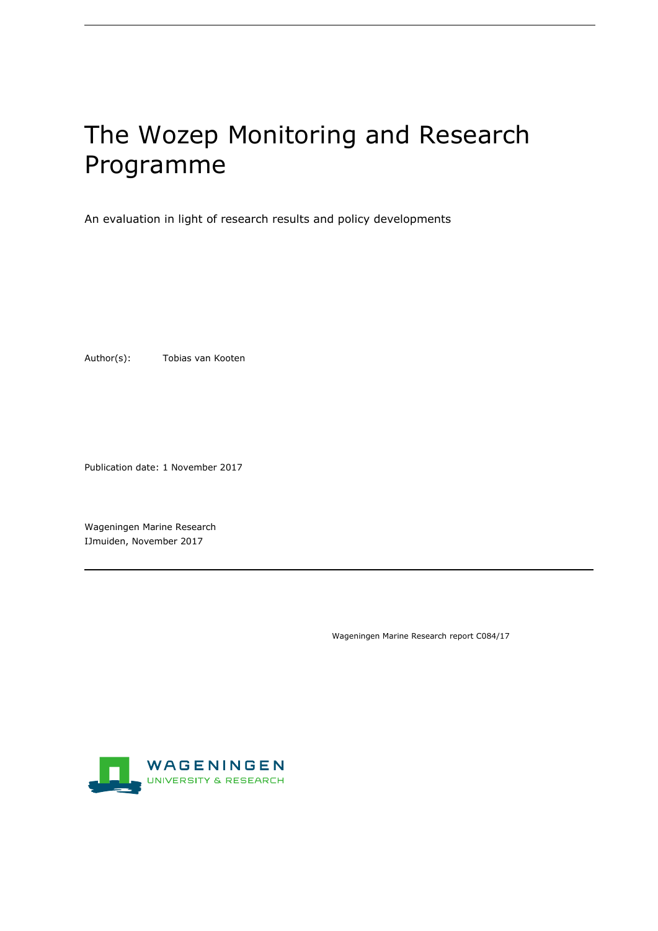# The Wozep Monitoring and Research Programme

An evaluation in light of research results and policy developments

Author(s): Tobias van Kooten

Publication date: 1 November 2017

<span id="page-1-0"></span>Wageningen Marine Research IJmuiden, November 2017

<span id="page-1-1"></span>Wageningen Marine Research report C084/17

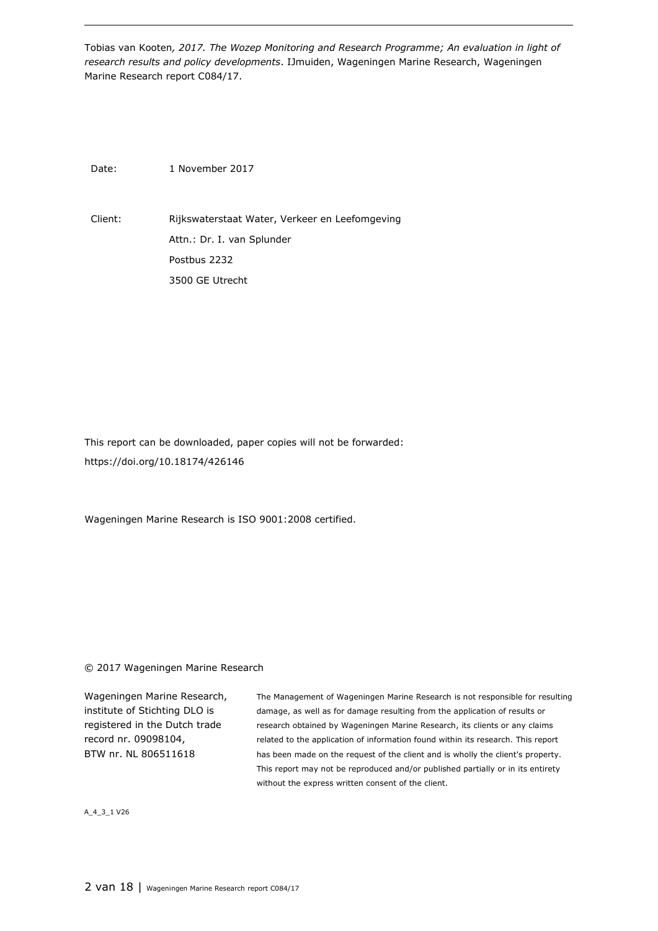Tobias van Kooten*, [2017.](#page-1-0) The Wozep Monitoring and Research Programme; An evaluation in light of research results and policy developments*. IJmuiden, Wageningen Marine Research, Wageningen Marine Research report C084/17.

Date: 1 November 2017

Client: Rijkswaterstaat Water, Verkeer en Leefomgeving Attn.: Dr. I. van Splunder Postbus 2232 3500 GE Utrecht

This report can be downloaded, paper copies will not be forwarded: <https://doi.org/10.18174/426146>

Wageningen Marine Research is ISO 9001:2008 certified.

© 2017 Wageningen Marine Research

Wageningen Marine Research, institute of Stichting DLO is registered in the Dutch trade record nr. 09098104, BTW nr. NL 806511618

The Management of Wageningen Marine Research is not responsible for resulting damage, as well as for damage resulting from the application of results or research obtained by Wageningen Marine Research, its clients or any claims related to the application of information found within its research. This report has been made on the request of the client and is wholly the client's property. This report may not be reproduced and/or published partially or in its entirety without the express written consent of the client.

A\_4\_3\_1 V26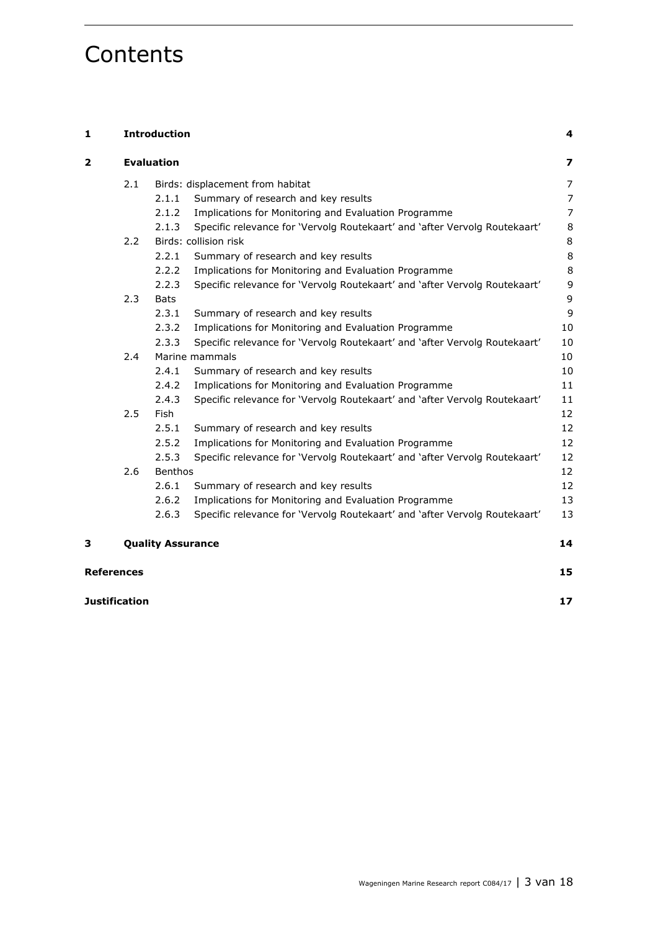## Contents

| $\mathbf{1}$            | <b>Introduction</b> |                          | 4                                                                          |                         |
|-------------------------|---------------------|--------------------------|----------------------------------------------------------------------------|-------------------------|
| $\overline{\mathbf{2}}$ |                     | <b>Evaluation</b>        |                                                                            | $\overline{\mathbf{z}}$ |
|                         | 2.1                 |                          | Birds: displacement from habitat                                           | 7                       |
|                         |                     | 2.1.1                    | Summary of research and key results                                        | $\overline{7}$          |
|                         |                     | 2.1.2                    | Implications for Monitoring and Evaluation Programme                       | $\overline{7}$          |
|                         |                     | 2.1.3                    | Specific relevance for 'Vervolg Routekaart' and 'after Vervolg Routekaart' | $\,8\,$                 |
|                         | 2.2                 |                          | Birds: collision risk                                                      | $\,8\,$                 |
|                         |                     | 2.2.1                    | Summary of research and key results                                        | 8                       |
|                         |                     | 2.2.2                    | Implications for Monitoring and Evaluation Programme                       | 8                       |
|                         |                     | 2.2.3                    | Specific relevance for 'Vervolg Routekaart' and 'after Vervolg Routekaart' | 9                       |
|                         | 2.3                 | <b>Bats</b>              |                                                                            | 9                       |
|                         |                     | 2.3.1                    | Summary of research and key results                                        | 9                       |
|                         |                     | 2.3.2                    | Implications for Monitoring and Evaluation Programme                       | 10                      |
|                         |                     | 2.3.3                    | Specific relevance for 'Vervolg Routekaart' and 'after Vervolg Routekaart' | 10                      |
|                         | 2.4                 |                          | Marine mammals                                                             | 10                      |
|                         |                     | 2.4.1                    | Summary of research and key results                                        | 10                      |
|                         |                     | 2.4.2                    | Implications for Monitoring and Evaluation Programme                       | 11                      |
|                         |                     | 2.4.3                    | Specific relevance for 'Vervolg Routekaart' and 'after Vervolg Routekaart' | 11                      |
|                         | 2.5                 | Fish                     |                                                                            | 12                      |
|                         |                     | 2.5.1                    | Summary of research and key results                                        | 12                      |
|                         |                     | 2.5.2                    | Implications for Monitoring and Evaluation Programme                       | 12                      |
|                         |                     | 2.5.3                    | Specific relevance for 'Vervolg Routekaart' and 'after Vervolg Routekaart' | 12                      |
|                         | 2.6                 | <b>Benthos</b>           |                                                                            | 12                      |
|                         |                     | 2.6.1                    | Summary of research and key results                                        | 12                      |
|                         |                     | 2.6.2                    | Implications for Monitoring and Evaluation Programme                       | 13                      |
|                         |                     | 2.6.3                    | Specific relevance for 'Vervolg Routekaart' and 'after Vervolg Routekaart' | 13                      |
| з                       |                     | <b>Quality Assurance</b> |                                                                            |                         |
|                         | <b>References</b>   |                          |                                                                            |                         |
| <b>Justification</b>    |                     |                          |                                                                            | 17                      |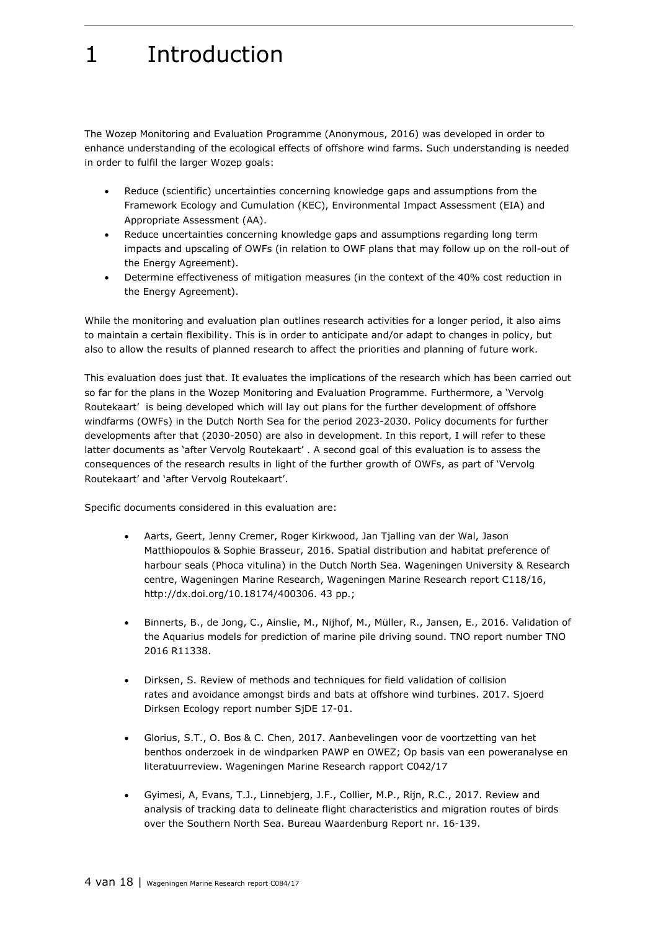## 1 Introduction

The Wozep Monitoring and Evaluation Programme (Anonymous, 2016) was developed in order to enhance understanding of the ecological effects of offshore wind farms. Such understanding is needed in order to fulfil the larger Wozep goals:

- Reduce (scientific) uncertainties concerning knowledge gaps and assumptions from the Framework Ecology and Cumulation (KEC), Environmental Impact Assessment (EIA) and Appropriate Assessment (AA).
- Reduce uncertainties concerning knowledge gaps and assumptions regarding long term impacts and upscaling of OWFs (in relation to OWF plans that may follow up on the roll-out of the Energy Agreement).
- Determine effectiveness of mitigation measures (in the context of the 40% cost reduction in the Energy Agreement).

While the monitoring and evaluation plan outlines research activities for a longer period, it also aims to maintain a certain flexibility. This is in order to anticipate and/or adapt to changes in policy, but also to allow the results of planned research to affect the priorities and planning of future work.

This evaluation does just that. It evaluates the implications of the research which has been carried out so far for the plans in the Wozep Monitoring and Evaluation Programme. Furthermore, a 'Vervolg Routekaart' is being developed which will lay out plans for the further development of offshore windfarms (OWFs) in the Dutch North Sea for the period 2023-2030. Policy documents for further developments after that (2030-2050) are also in development. In this report, I will refer to these latter documents as 'after Vervolg Routekaart' . A second goal of this evaluation is to assess the consequences of the research results in light of the further growth of OWFs, as part of 'Vervolg Routekaart' and 'after Vervolg Routekaart'.

Specific documents considered in this evaluation are:

- Aarts, Geert, Jenny Cremer, Roger Kirkwood, Jan Tjalling van der Wal, Jason Matthiopoulos & Sophie Brasseur, 2016. Spatial distribution and habitat preference of harbour seals (Phoca vitulina) in the Dutch North Sea. Wageningen University & Research centre, Wageningen Marine Research, Wageningen Marine Research report C118/16, http://dx.doi.org/10.18174/400306. 43 pp.;
- Binnerts, B., de Jong, C., Ainslie, M., Nijhof, M., Müller, R., Jansen, E., 2016. Validation of the Aquarius models for prediction of marine pile driving sound. TNO report number TNO 2016 R11338.
- Dirksen, S. Review of methods and techniques for field validation of collision rates and avoidance amongst birds and bats at offshore wind turbines. 2017. Sjoerd Dirksen Ecology report number SjDE 17-01.
- Glorius, S.T., O. Bos & C. Chen, 2017. Aanbevelingen voor de voortzetting van het benthos onderzoek in de windparken PAWP en OWEZ; Op basis van een poweranalyse en literatuurreview. Wageningen Marine Research rapport C042/17
- Gyimesi, A, Evans, T.J., Linnebjerg, J.F., Collier, M.P., Rijn, R.C., 2017. Review and analysis of tracking data to delineate flight characteristics and migration routes of birds over the Southern North Sea. Bureau Waardenburg Report nr. 16-139.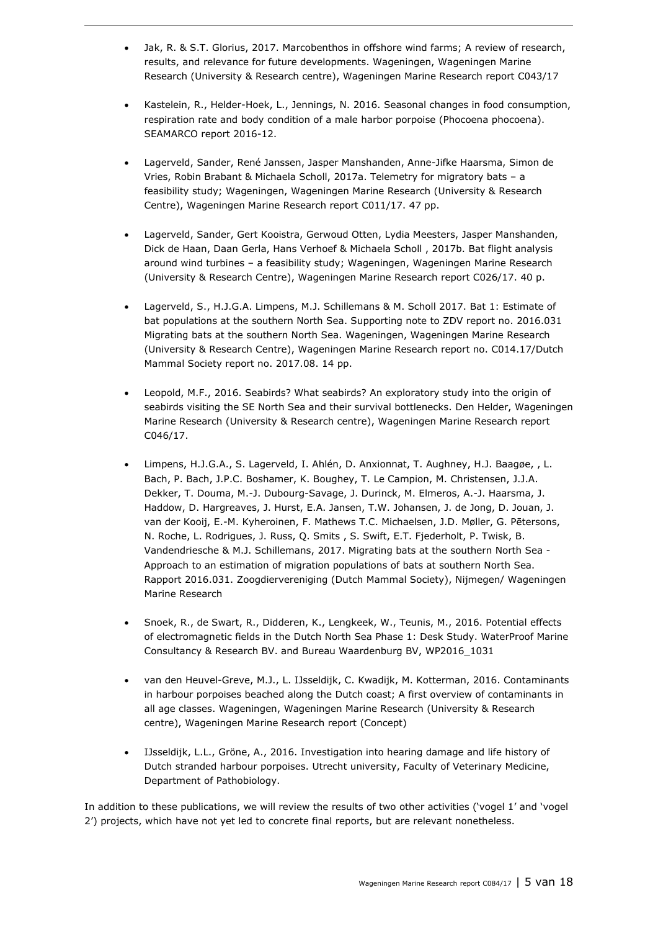- Jak, R. & S.T. Glorius, 2017. Marcobenthos in offshore wind farms; A review of research, results, and relevance for future developments. Wageningen, Wageningen Marine Research (University & Research centre), Wageningen Marine Research report C043/17
- Kastelein, R., Helder-Hoek, L., Jennings, N. 2016. Seasonal changes in food consumption, respiration rate and body condition of a male harbor porpoise (Phocoena phocoena). SEAMARCO report 2016-12.
- Lagerveld, Sander, René Janssen, Jasper Manshanden, Anne-Jifke Haarsma, Simon de Vries, Robin Brabant & Michaela Scholl, 2017a. Telemetry for migratory bats – a feasibility study; Wageningen, Wageningen Marine Research (University & Research Centre), Wageningen Marine Research report C011/17. 47 pp.
- Lagerveld, Sander, Gert Kooistra, Gerwoud Otten, Lydia Meesters, Jasper Manshanden, Dick de Haan, Daan Gerla, Hans Verhoef & Michaela Scholl , 2017b. Bat flight analysis around wind turbines – a feasibility study; Wageningen, Wageningen Marine Research (University & Research Centre), Wageningen Marine Research report C026/17. 40 p.
- Lagerveld, S., H.J.G.A. Limpens, M.J. Schillemans & M. Scholl 2017. Bat 1: Estimate of bat populations at the southern North Sea. Supporting note to ZDV report no. 2016.031 Migrating bats at the southern North Sea. Wageningen, Wageningen Marine Research (University & Research Centre), Wageningen Marine Research report no. C014.17/Dutch Mammal Society report no. 2017.08. 14 pp.
- Leopold, M.F., 2016. Seabirds? What seabirds? An exploratory study into the origin of seabirds visiting the SE North Sea and their survival bottlenecks. Den Helder, Wageningen Marine Research (University & Research centre), Wageningen Marine Research report C046/17.
- Limpens, H.J.G.A., S. Lagerveld, I. Ahlén, D. Anxionnat, T. Aughney, H.J. Baagøe, , L. Bach, P. Bach, J.P.C. Boshamer, K. Boughey, T. Le Campion, M. Christensen, J.J.A. Dekker, T. Douma, M.-J. Dubourg-Savage, J. Durinck, M. Elmeros, A.-J. Haarsma, J. Haddow, D. Hargreaves, J. Hurst, E.A. Jansen, T.W. Johansen, J. de Jong, D. Jouan, J. van der Kooij, E.-M. Kyheroinen, F. Mathews T.C. Michaelsen, J.D. Møller, G. Pētersons, N. Roche, L. Rodrigues, J. Russ, Q. Smits , S. Swift, E.T. Fjederholt, P. Twisk, B. Vandendriesche & M.J. Schillemans, 2017. Migrating bats at the southern North Sea - Approach to an estimation of migration populations of bats at southern North Sea. Rapport 2016.031. Zoogdiervereniging (Dutch Mammal Society), Nijmegen/ Wageningen Marine Research
- Snoek, R., de Swart, R., Didderen, K., Lengkeek, W., Teunis, M., 2016. Potential effects of electromagnetic fields in the Dutch North Sea Phase 1: Desk Study. WaterProof Marine Consultancy & Research BV. and Bureau Waardenburg BV, WP2016\_1031
- van den Heuvel-Greve, M.J., L. IJsseldijk, C. Kwadijk, M. Kotterman, 2016. Contaminants in harbour porpoises beached along the Dutch coast; A first overview of contaminants in all age classes. Wageningen, Wageningen Marine Research (University & Research centre), Wageningen Marine Research report (Concept)
- IJsseldijk, L.L., Gröne, A., 2016. Investigation into hearing damage and life history of Dutch stranded harbour porpoises. Utrecht university, Faculty of Veterinary Medicine, Department of Pathobiology.

In addition to these publications, we will review the results of two other activities ('vogel 1' and 'vogel 2') projects, which have not yet led to concrete final reports, but are relevant nonetheless.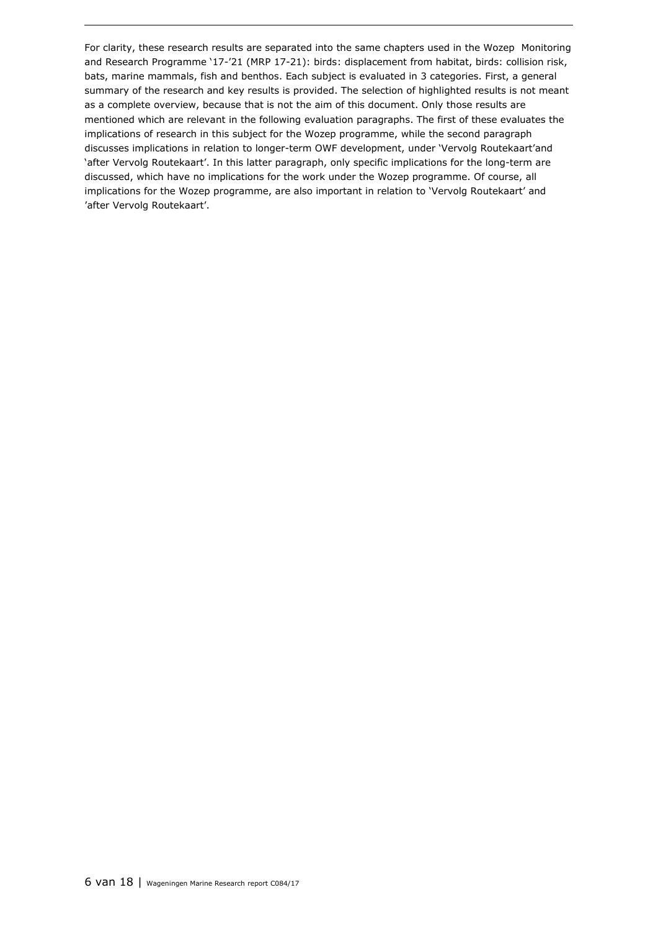For clarity, these research results are separated into the same chapters used in the Wozep Monitoring and Research Programme '17-'21 (MRP 17-21): birds: displacement from habitat, birds: collision risk, bats, marine mammals, fish and benthos. Each subject is evaluated in 3 categories. First, a general summary of the research and key results is provided. The selection of highlighted results is not meant as a complete overview, because that is not the aim of this document. Only those results are mentioned which are relevant in the following evaluation paragraphs. The first of these evaluates the implications of research in this subject for the Wozep programme, while the second paragraph discusses implications in relation to longer-term OWF development, under 'Vervolg Routekaart'and 'after Vervolg Routekaart'. In this latter paragraph, only specific implications for the long-term are discussed, which have no implications for the work under the Wozep programme. Of course, all implications for the Wozep programme, are also important in relation to 'Vervolg Routekaart' and 'after Vervolg Routekaart'.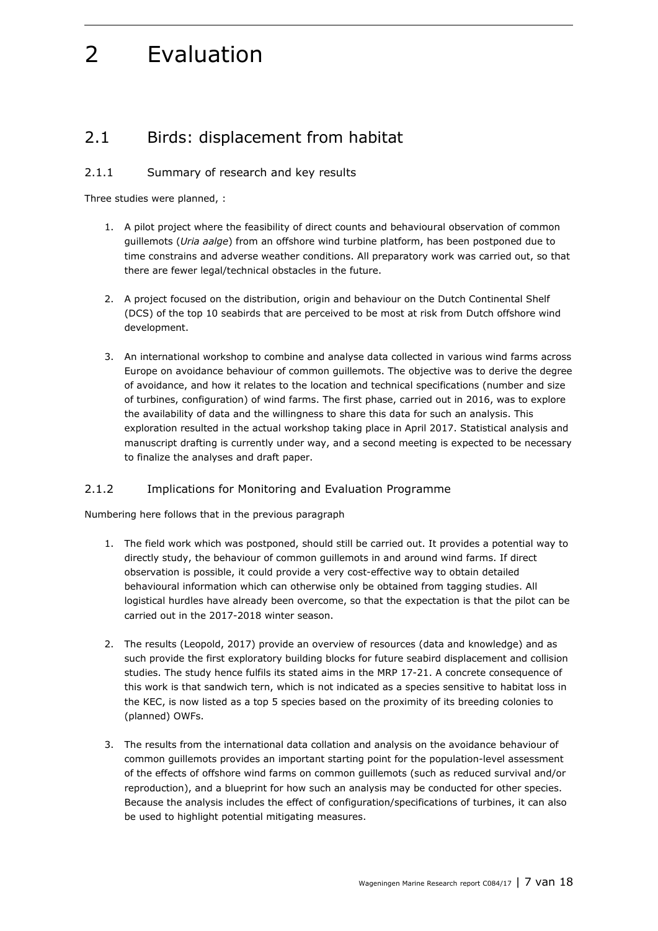## 2 Evaluation

### 2.1 Birds: displacement from habitat

### 2.1.1 Summary of research and key results

Three studies were planned, :

- 1. A pilot project where the feasibility of direct counts and behavioural observation of common guillemots (*Uria aalge*) from an offshore wind turbine platform, has been postponed due to time constrains and adverse weather conditions. All preparatory work was carried out, so that there are fewer legal/technical obstacles in the future.
- 2. A project focused on the distribution, origin and behaviour on the Dutch Continental Shelf (DCS) of the top 10 seabirds that are perceived to be most at risk from Dutch offshore wind development.
- 3. An international workshop to combine and analyse data collected in various wind farms across Europe on avoidance behaviour of common guillemots. The objective was to derive the degree of avoidance, and how it relates to the location and technical specifications (number and size of turbines, configuration) of wind farms. The first phase, carried out in 2016, was to explore the availability of data and the willingness to share this data for such an analysis. This exploration resulted in the actual workshop taking place in April 2017. Statistical analysis and manuscript drafting is currently under way, and a second meeting is expected to be necessary to finalize the analyses and draft paper.

#### 2.1.2 Implications for Monitoring and Evaluation Programme

Numbering here follows that in the previous paragraph

- 1. The field work which was postponed, should still be carried out. It provides a potential way to directly study, the behaviour of common guillemots in and around wind farms. If direct observation is possible, it could provide a very cost-effective way to obtain detailed behavioural information which can otherwise only be obtained from tagging studies. All logistical hurdles have already been overcome, so that the expectation is that the pilot can be carried out in the 2017-2018 winter season.
- 2. The results (Leopold, 2017) provide an overview of resources (data and knowledge) and as such provide the first exploratory building blocks for future seabird displacement and collision studies. The study hence fulfils its stated aims in the MRP 17-21. A concrete consequence of this work is that sandwich tern, which is not indicated as a species sensitive to habitat loss in the KEC, is now listed as a top 5 species based on the proximity of its breeding colonies to (planned) OWFs.
- 3. The results from the international data collation and analysis on the avoidance behaviour of common guillemots provides an important starting point for the population-level assessment of the effects of offshore wind farms on common guillemots (such as reduced survival and/or reproduction), and a blueprint for how such an analysis may be conducted for other species. Because the analysis includes the effect of configuration/specifications of turbines, it can also be used to highlight potential mitigating measures.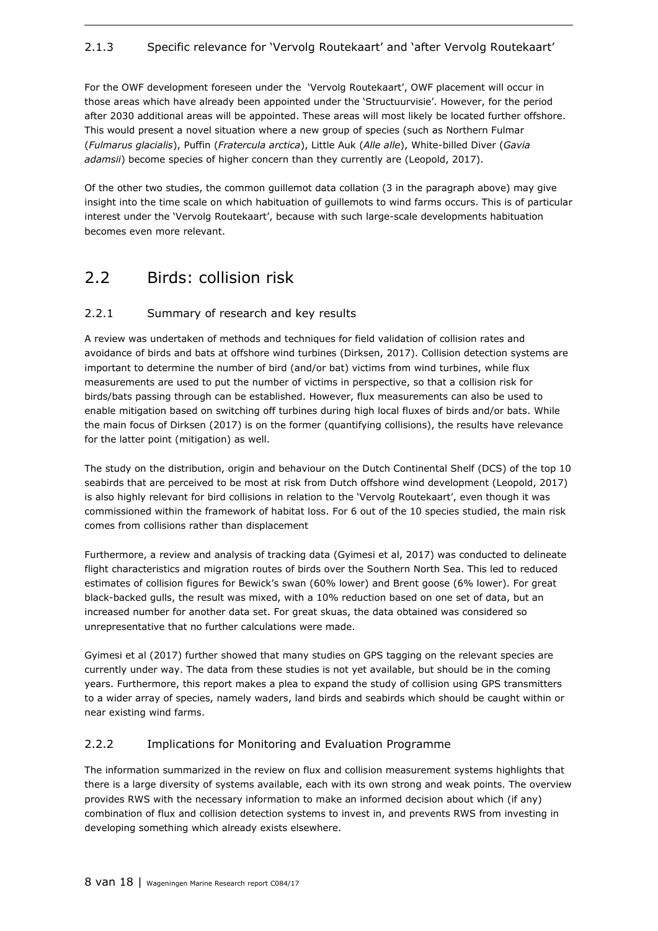#### 2.1.3 Specific relevance for 'Vervolg Routekaart' and 'after Vervolg Routekaart'

For the OWF development foreseen under the 'Vervolg Routekaart', OWF placement will occur in those areas which have already been appointed under the 'Structuurvisie'. However, for the period after 2030 additional areas will be appointed. These areas will most likely be located further offshore. This would present a novel situation where a new group of species (such as Northern Fulmar (*Fulmarus glacialis*), Puffin (*Fratercula arctica*), Little Auk (*Alle alle*), White-billed Diver (*Gavia adamsii*) become species of higher concern than they currently are (Leopold, 2017).

Of the other two studies, the common guillemot data collation (3 in the paragraph above) may give insight into the time scale on which habituation of guillemots to wind farms occurs. This is of particular interest under the 'Vervolg Routekaart', because with such large-scale developments habituation becomes even more relevant.

### 2.2 Birds: collision risk

### 2.2.1 Summary of research and key results

A review was undertaken of methods and techniques for field validation of collision rates and avoidance of birds and bats at offshore wind turbines (Dirksen, 2017). Collision detection systems are important to determine the number of bird (and/or bat) victims from wind turbines, while flux measurements are used to put the number of victims in perspective, so that a collision risk for birds/bats passing through can be established. However, flux measurements can also be used to enable mitigation based on switching off turbines during high local fluxes of birds and/or bats. While the main focus of Dirksen (2017) is on the former (quantifying collisions), the results have relevance for the latter point (mitigation) as well.

The study on the distribution, origin and behaviour on the Dutch Continental Shelf (DCS) of the top 10 seabirds that are perceived to be most at risk from Dutch offshore wind development (Leopold, 2017) is also highly relevant for bird collisions in relation to the 'Vervolg Routekaart', even though it was commissioned within the framework of habitat loss. For 6 out of the 10 species studied, the main risk comes from collisions rather than displacement

Furthermore, a review and analysis of tracking data (Gyimesi et al, 2017) was conducted to delineate flight characteristics and migration routes of birds over the Southern North Sea. This led to reduced estimates of collision figures for Bewick's swan (60% lower) and Brent goose (6% lower). For great black-backed gulls, the result was mixed, with a 10% reduction based on one set of data, but an increased number for another data set. For great skuas, the data obtained was considered so unrepresentative that no further calculations were made.

Gyimesi et al (2017) further showed that many studies on GPS tagging on the relevant species are currently under way. The data from these studies is not yet available, but should be in the coming years. Furthermore, this report makes a plea to expand the study of collision using GPS transmitters to a wider array of species, namely waders, land birds and seabirds which should be caught within or near existing wind farms.

#### 2.2.2 Implications for Monitoring and Evaluation Programme

The information summarized in the review on flux and collision measurement systems highlights that there is a large diversity of systems available, each with its own strong and weak points. The overview provides RWS with the necessary information to make an informed decision about which (if any) combination of flux and collision detection systems to invest in, and prevents RWS from investing in developing something which already exists elsewhere.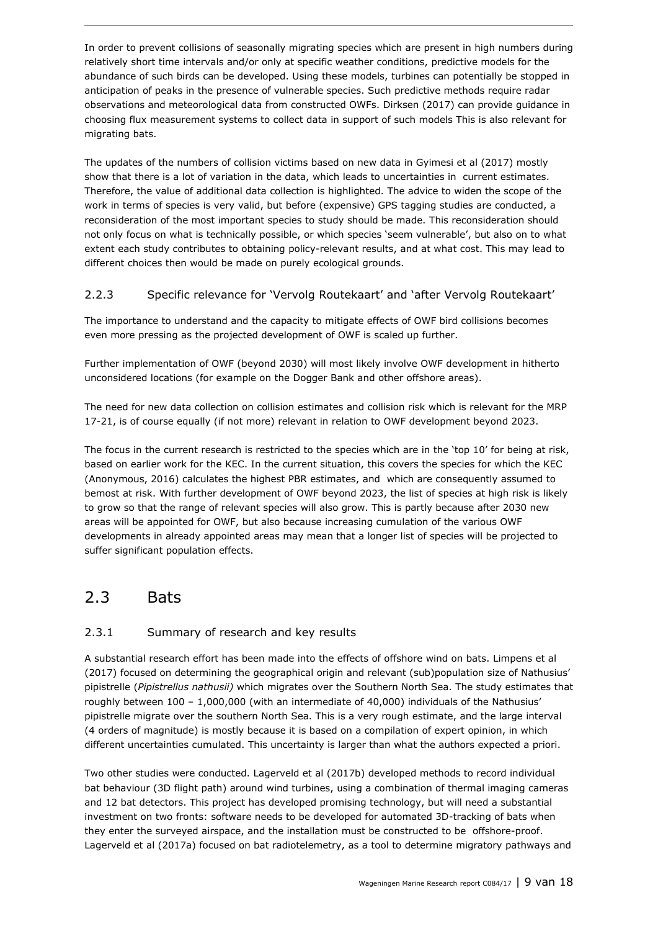In order to prevent collisions of seasonally migrating species which are present in high numbers during relatively short time intervals and/or only at specific weather conditions, predictive models for the abundance of such birds can be developed. Using these models, turbines can potentially be stopped in anticipation of peaks in the presence of vulnerable species. Such predictive methods require radar observations and meteorological data from constructed OWFs. Dirksen (2017) can provide guidance in choosing flux measurement systems to collect data in support of such models This is also relevant for migrating bats.

The updates of the numbers of collision victims based on new data in Gyimesi et al (2017) mostly show that there is a lot of variation in the data, which leads to uncertainties in current estimates. Therefore, the value of additional data collection is highlighted. The advice to widen the scope of the work in terms of species is very valid, but before (expensive) GPS tagging studies are conducted, a reconsideration of the most important species to study should be made. This reconsideration should not only focus on what is technically possible, or which species 'seem vulnerable', but also on to what extent each study contributes to obtaining policy-relevant results, and at what cost. This may lead to different choices then would be made on purely ecological grounds.

### 2.2.3 Specific relevance for 'Vervolg Routekaart' and 'after Vervolg Routekaart'

The importance to understand and the capacity to mitigate effects of OWF bird collisions becomes even more pressing as the projected development of OWF is scaled up further.

Further implementation of OWF (beyond 2030) will most likely involve OWF development in hitherto unconsidered locations (for example on the Dogger Bank and other offshore areas).

The need for new data collection on collision estimates and collision risk which is relevant for the MRP 17-21, is of course equally (if not more) relevant in relation to OWF development beyond 2023.

The focus in the current research is restricted to the species which are in the 'top 10' for being at risk, based on earlier work for the KEC. In the current situation, this covers the species for which the KEC (Anonymous, 2016) calculates the highest PBR estimates, and which are consequently assumed to bemost at risk. With further development of OWF beyond 2023, the list of species at high risk is likely to grow so that the range of relevant species will also grow. This is partly because after 2030 new areas will be appointed for OWF, but also because increasing cumulation of the various OWF developments in already appointed areas may mean that a longer list of species will be projected to suffer significant population effects.

### 2.3 Bats

#### 2.3.1 Summary of research and key results

A substantial research effort has been made into the effects of offshore wind on bats. Limpens et al (2017) focused on determining the geographical origin and relevant (sub)population size of Nathusius' pipistrelle (*Pipistrellus nathusii)* which migrates over the Southern North Sea. The study estimates that roughly between 100 – 1,000,000 (with an intermediate of 40,000) individuals of the Nathusius' pipistrelle migrate over the southern North Sea. This is a very rough estimate, and the large interval (4 orders of magnitude) is mostly because it is based on a compilation of expert opinion, in which different uncertainties cumulated. This uncertainty is larger than what the authors expected a priori.

Two other studies were conducted. Lagerveld et al (2017b) developed methods to record individual bat behaviour (3D flight path) around wind turbines, using a combination of thermal imaging cameras and 12 bat detectors. This project has developed promising technology, but will need a substantial investment on two fronts: software needs to be developed for automated 3D-tracking of bats when they enter the surveyed airspace, and the installation must be constructed to be offshore-proof. Lagerveld et al (2017a) focused on bat radiotelemetry, as a tool to determine migratory pathways and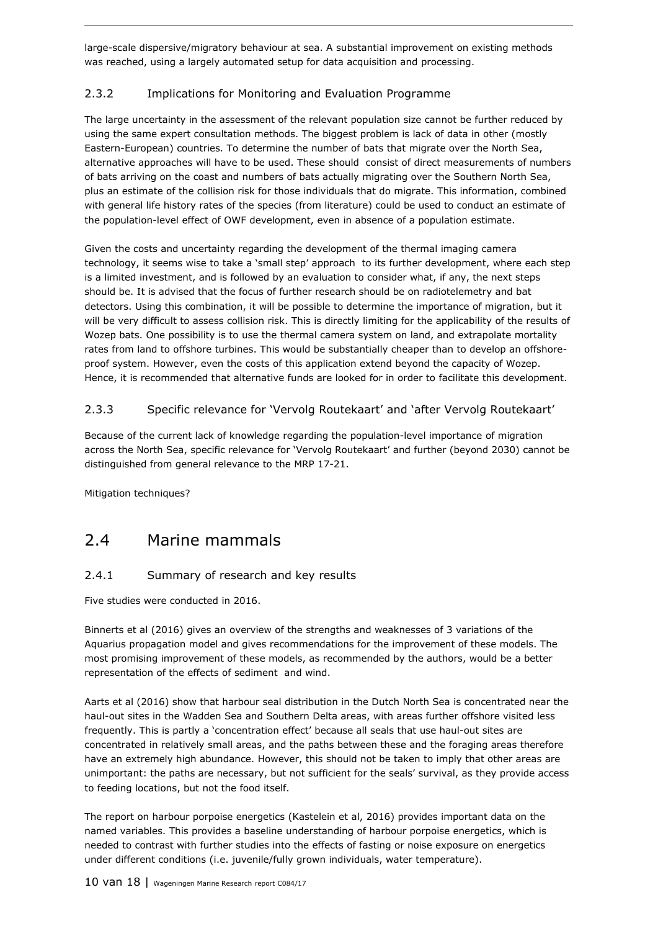large-scale dispersive/migratory behaviour at sea. A substantial improvement on existing methods was reached, using a largely automated setup for data acquisition and processing.

### 2.3.2 Implications for Monitoring and Evaluation Programme

The large uncertainty in the assessment of the relevant population size cannot be further reduced by using the same expert consultation methods. The biggest problem is lack of data in other (mostly Eastern-European) countries. To determine the number of bats that migrate over the North Sea, alternative approaches will have to be used. These should consist of direct measurements of numbers of bats arriving on the coast and numbers of bats actually migrating over the Southern North Sea, plus an estimate of the collision risk for those individuals that do migrate. This information, combined with general life history rates of the species (from literature) could be used to conduct an estimate of the population-level effect of OWF development, even in absence of a population estimate.

Given the costs and uncertainty regarding the development of the thermal imaging camera technology, it seems wise to take a 'small step' approach to its further development, where each step is a limited investment, and is followed by an evaluation to consider what, if any, the next steps should be. It is advised that the focus of further research should be on radiotelemetry and bat detectors. Using this combination, it will be possible to determine the importance of migration, but it will be very difficult to assess collision risk. This is directly limiting for the applicability of the results of Wozep bats. One possibility is to use the thermal camera system on land, and extrapolate mortality rates from land to offshore turbines. This would be substantially cheaper than to develop an offshoreproof system. However, even the costs of this application extend beyond the capacity of Wozep. Hence, it is recommended that alternative funds are looked for in order to facilitate this development.

### 2.3.3 Specific relevance for 'Vervolg Routekaart' and 'after Vervolg Routekaart'

Because of the current lack of knowledge regarding the population-level importance of migration across the North Sea, specific relevance for 'Vervolg Routekaart' and further (beyond 2030) cannot be distinguished from general relevance to the MRP 17-21.

Mitigation techniques?

### 2.4 Marine mammals

### 2.4.1 Summary of research and key results

Five studies were conducted in 2016.

Binnerts et al (2016) gives an overview of the strengths and weaknesses of 3 variations of the Aquarius propagation model and gives recommendations for the improvement of these models. The most promising improvement of these models, as recommended by the authors, would be a better representation of the effects of sediment and wind.

Aarts et al (2016) show that harbour seal distribution in the Dutch North Sea is concentrated near the haul-out sites in the Wadden Sea and Southern Delta areas, with areas further offshore visited less frequently. This is partly a 'concentration effect' because all seals that use haul-out sites are concentrated in relatively small areas, and the paths between these and the foraging areas therefore have an extremely high abundance. However, this should not be taken to imply that other areas are unimportant: the paths are necessary, but not sufficient for the seals' survival, as they provide access to feeding locations, but not the food itself.

The report on harbour porpoise energetics (Kastelein et al, 2016) provides important data on the named variables. This provides a baseline understanding of harbour porpoise energetics, which is needed to contrast with further studies into the effects of fasting or noise exposure on energetics under different conditions (i.e. juvenile/fully grown individuals, water temperature).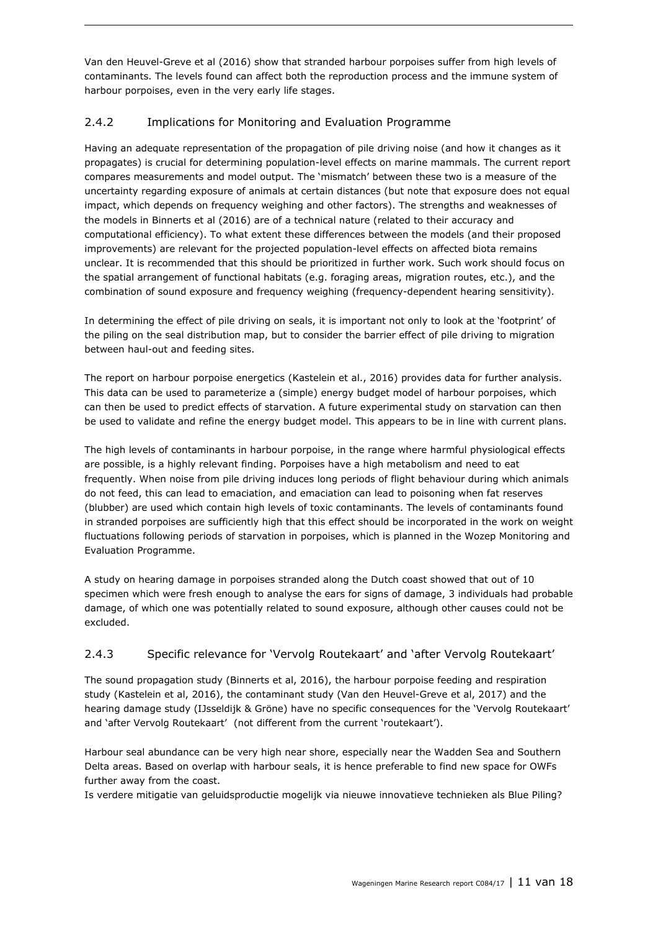Van den Heuvel-Greve et al (2016) show that stranded harbour porpoises suffer from high levels of contaminants. The levels found can affect both the reproduction process and the immune system of harbour porpoises, even in the very early life stages.

### 2.4.2 Implications for Monitoring and Evaluation Programme

Having an adequate representation of the propagation of pile driving noise (and how it changes as it propagates) is crucial for determining population-level effects on marine mammals. The current report compares measurements and model output. The 'mismatch' between these two is a measure of the uncertainty regarding exposure of animals at certain distances (but note that exposure does not equal impact, which depends on frequency weighing and other factors). The strengths and weaknesses of the models in Binnerts et al (2016) are of a technical nature (related to their accuracy and computational efficiency). To what extent these differences between the models (and their proposed improvements) are relevant for the projected population-level effects on affected biota remains unclear. It is recommended that this should be prioritized in further work. Such work should focus on the spatial arrangement of functional habitats (e.g. foraging areas, migration routes, etc.), and the combination of sound exposure and frequency weighing (frequency-dependent hearing sensitivity).

In determining the effect of pile driving on seals, it is important not only to look at the 'footprint' of the piling on the seal distribution map, but to consider the barrier effect of pile driving to migration between haul-out and feeding sites.

The report on harbour porpoise energetics (Kastelein et al., 2016) provides data for further analysis. This data can be used to parameterize a (simple) energy budget model of harbour porpoises, which can then be used to predict effects of starvation. A future experimental study on starvation can then be used to validate and refine the energy budget model. This appears to be in line with current plans.

The high levels of contaminants in harbour porpoise, in the range where harmful physiological effects are possible, is a highly relevant finding. Porpoises have a high metabolism and need to eat frequently. When noise from pile driving induces long periods of flight behaviour during which animals do not feed, this can lead to emaciation, and emaciation can lead to poisoning when fat reserves (blubber) are used which contain high levels of toxic contaminants. The levels of contaminants found in stranded porpoises are sufficiently high that this effect should be incorporated in the work on weight fluctuations following periods of starvation in porpoises, which is planned in the Wozep Monitoring and Evaluation Programme.

A study on hearing damage in porpoises stranded along the Dutch coast showed that out of 10 specimen which were fresh enough to analyse the ears for signs of damage, 3 individuals had probable damage, of which one was potentially related to sound exposure, although other causes could not be excluded.

#### 2.4.3 Specific relevance for 'Vervolg Routekaart' and 'after Vervolg Routekaart'

The sound propagation study (Binnerts et al, 2016), the harbour porpoise feeding and respiration study (Kastelein et al, 2016), the contaminant study (Van den Heuvel-Greve et al, 2017) and the hearing damage study (IJsseldijk & Gröne) have no specific consequences for the 'Vervolg Routekaart' and 'after Vervolg Routekaart' (not different from the current 'routekaart').

Harbour seal abundance can be very high near shore, especially near the Wadden Sea and Southern Delta areas. Based on overlap with harbour seals, it is hence preferable to find new space for OWFs further away from the coast.

Is verdere mitigatie van geluidsproductie mogelijk via nieuwe innovatieve technieken als Blue Piling?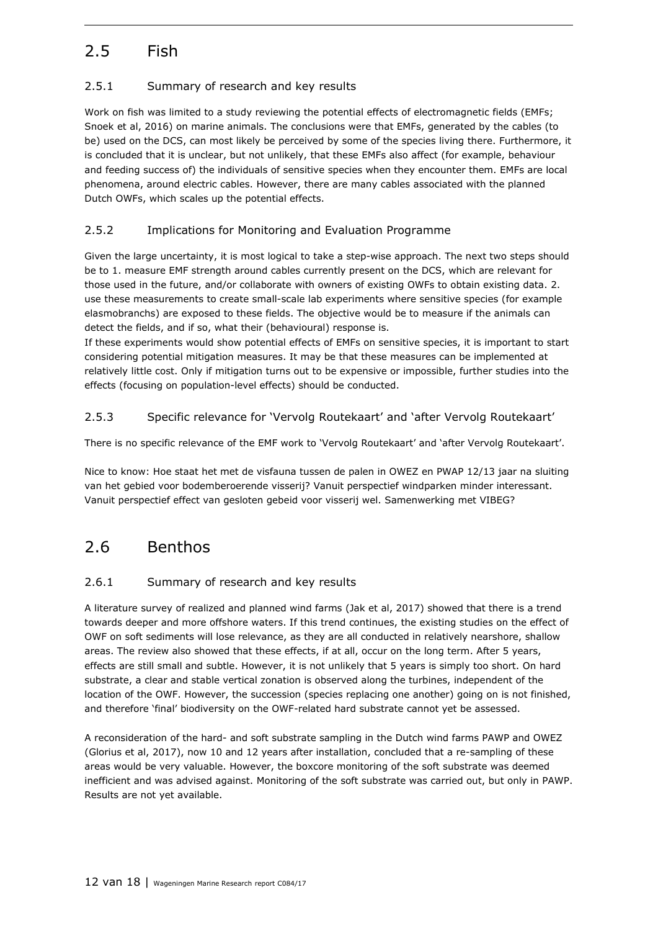### 2.5 Fish

### 2.5.1 Summary of research and key results

Work on fish was limited to a study reviewing the potential effects of electromagnetic fields (EMFs; Snoek et al, 2016) on marine animals. The conclusions were that EMFs, generated by the cables (to be) used on the DCS, can most likely be perceived by some of the species living there. Furthermore, it is concluded that it is unclear, but not unlikely, that these EMFs also affect (for example, behaviour and feeding success of) the individuals of sensitive species when they encounter them. EMFs are local phenomena, around electric cables. However, there are many cables associated with the planned Dutch OWFs, which scales up the potential effects.

### 2.5.2 Implications for Monitoring and Evaluation Programme

Given the large uncertainty, it is most logical to take a step-wise approach. The next two steps should be to 1. measure EMF strength around cables currently present on the DCS, which are relevant for those used in the future, and/or collaborate with owners of existing OWFs to obtain existing data. 2. use these measurements to create small-scale lab experiments where sensitive species (for example elasmobranchs) are exposed to these fields. The objective would be to measure if the animals can detect the fields, and if so, what their (behavioural) response is.

If these experiments would show potential effects of EMFs on sensitive species, it is important to start considering potential mitigation measures. It may be that these measures can be implemented at relatively little cost. Only if mitigation turns out to be expensive or impossible, further studies into the effects (focusing on population-level effects) should be conducted.

#### 2.5.3 Specific relevance for 'Vervolg Routekaart' and 'after Vervolg Routekaart'

There is no specific relevance of the EMF work to 'Vervolg Routekaart' and 'after Vervolg Routekaart'.

Nice to know: Hoe staat het met de visfauna tussen de palen in OWEZ en PWAP 12/13 jaar na sluiting van het gebied voor bodemberoerende visserij? Vanuit perspectief windparken minder interessant. Vanuit perspectief effect van gesloten gebeid voor visserij wel. Samenwerking met VIBEG?

### 2.6 Benthos

#### 2.6.1 Summary of research and key results

A literature survey of realized and planned wind farms (Jak et al, 2017) showed that there is a trend towards deeper and more offshore waters. If this trend continues, the existing studies on the effect of OWF on soft sediments will lose relevance, as they are all conducted in relatively nearshore, shallow areas. The review also showed that these effects, if at all, occur on the long term. After 5 years, effects are still small and subtle. However, it is not unlikely that 5 years is simply too short. On hard substrate, a clear and stable vertical zonation is observed along the turbines, independent of the location of the OWF. However, the succession (species replacing one another) going on is not finished, and therefore 'final' biodiversity on the OWF-related hard substrate cannot yet be assessed.

A reconsideration of the hard- and soft substrate sampling in the Dutch wind farms PAWP and OWEZ (Glorius et al, 2017), now 10 and 12 years after installation, concluded that a re-sampling of these areas would be very valuable. However, the boxcore monitoring of the soft substrate was deemed inefficient and was advised against. Monitoring of the soft substrate was carried out, but only in PAWP. Results are not yet available.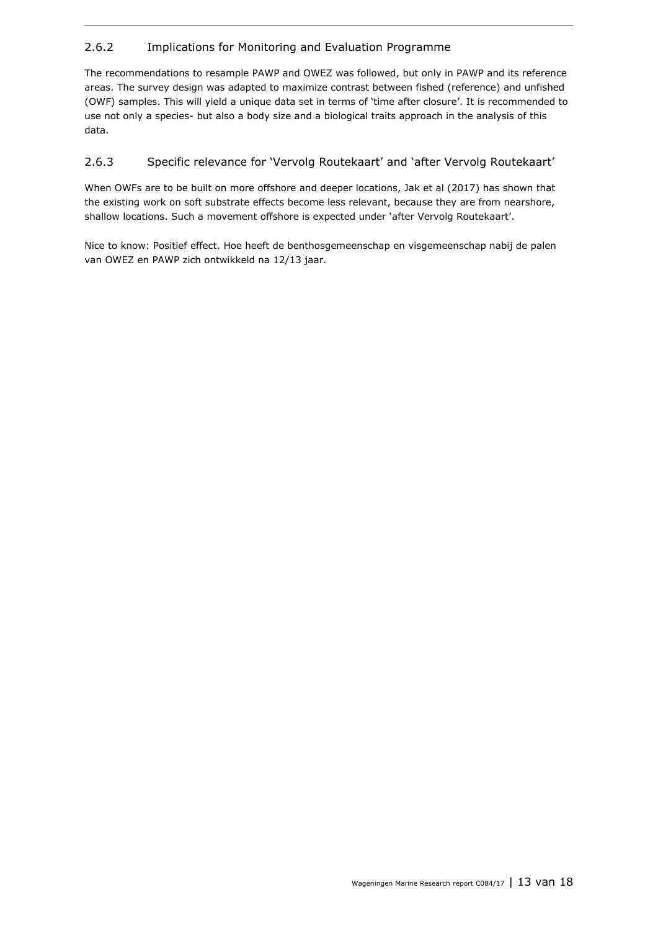#### 2.6.2 Implications for Monitoring and Evaluation Programme

The recommendations to resample PAWP and OWEZ was followed, but only in PAWP and its reference areas. The survey design was adapted to maximize contrast between fished (reference) and unfished (OWF) samples. This will yield a unique data set in terms of 'time after closure'. It is recommended to use not only a species- but also a body size and a biological traits approach in the analysis of this data.

#### 2.6.3 Specific relevance for 'Vervolg Routekaart' and 'after Vervolg Routekaart'

When OWFs are to be built on more offshore and deeper locations, Jak et al (2017) has shown that the existing work on soft substrate effects become less relevant, because they are from nearshore, shallow locations. Such a movement offshore is expected under 'after Vervolg Routekaart'.

Nice to know: Positief effect. Hoe heeft de benthosgemeenschap en visgemeenschap nabij de palen van OWEZ en PAWP zich ontwikkeld na 12/13 jaar.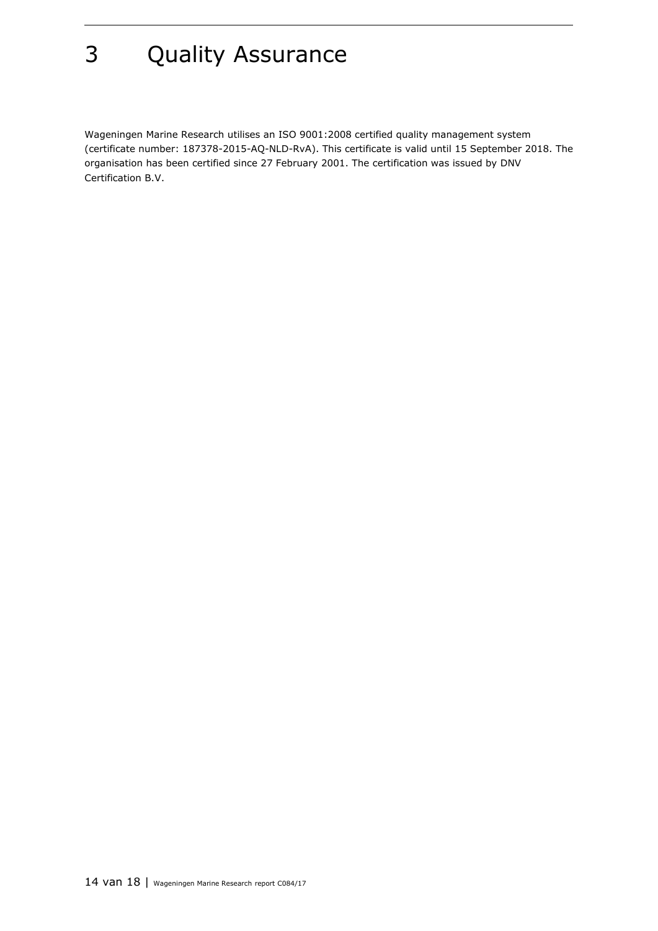# 3 Quality Assurance

Wageningen Marine Research utilises an ISO 9001:2008 certified quality management system (certificate number: 187378-2015-AQ-NLD-RvA). This certificate is valid until 15 September 2018. The organisation has been certified since 27 February 2001. The certification was issued by DNV Certification B.V.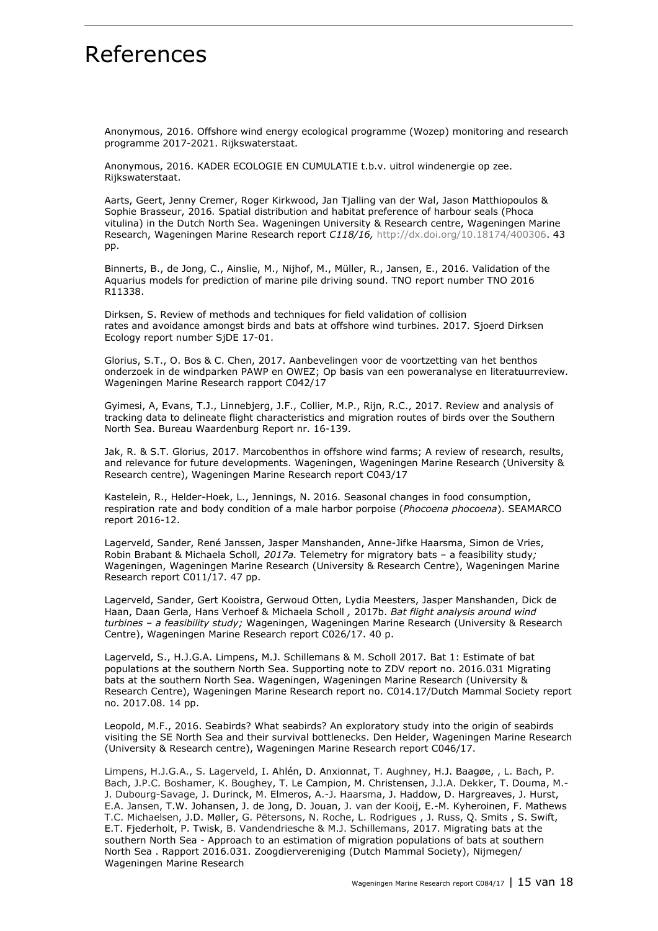## References

Anonymous, 2016. Offshore wind energy ecological programme (Wozep) monitoring and research programme 2017-2021. Rijkswaterstaat.

Anonymous, 2016. KADER ECOLOGIE EN CUMULATIE t.b.v. uitrol windenergie op zee. Rijkswaterstaat.

Aarts, Geert, Jenny Cremer, Roger Kirkwood, Jan Tjalling van der Wal, Jason Matthiopoulos & Sophie Brasseur, 2016*.* Spatial distribution and habitat preference of harbour seals (Phoca vitulina) in the Dutch North Sea. Wageningen University & Research centre, Wageningen Marine Research, Wageningen Marine Research report *C118/16,* http://dx.doi.org/10.18174/400306. 43 pp.

Binnerts, B., de Jong, C., Ainslie, M., Nijhof, M., Müller, R., Jansen, E., 2016. Validation of the Aquarius models for prediction of marine pile driving sound. TNO report number TNO 2016 R11338.

Dirksen, S. Review of methods and techniques for field validation of collision rates and avoidance amongst birds and bats at offshore wind turbines. 2017. Sjoerd Dirksen Ecology report number SjDE 17-01.

Glorius, S.T., O. Bos & C. Chen, 2017. Aanbevelingen voor de voortzetting van het benthos onderzoek in de windparken PAWP en OWEZ; Op basis van een poweranalyse en literatuurreview. Wageningen Marine Research rapport C042/17

Gyimesi, A, Evans, T.J., Linnebjerg, J.F., Collier, M.P., Rijn, R.C., 2017. Review and analysis of tracking data to delineate flight characteristics and migration routes of birds over the Southern North Sea. Bureau Waardenburg Report nr. 16-139.

Jak, R. & S.T. Glorius, 2017. Marcobenthos in offshore wind farms; A review of research, results, and relevance for future developments. Wageningen, Wageningen Marine Research (University & Research centre), Wageningen Marine Research report C043/17

Kastelein, R., Helder-Hoek, L., Jennings, N. 2016. Seasonal changes in food consumption, respiration rate and body condition of a male harbor porpoise (*Phocoena phocoena*). SEAMARCO report 2016-12.

Lagerveld, Sander, René Janssen, Jasper Manshanden, Anne-Jifke Haarsma, Simon de Vries, Robin Brabant & Michaela Scholl*, 2017a.* Telemetry for migratory bats – a feasibility study*;*  Wageningen, Wageningen Marine Research (University & Research Centre), Wageningen Marine Research report C011/17. 47 pp.

Lagerveld, Sander, Gert Kooistra, Gerwoud Otten, Lydia Meesters, Jasper Manshanden, Dick de Haan, Daan Gerla, Hans Verhoef & Michaela Scholl *,* 2017b. *Bat flight analysis around wind turbines – a feasibility study;* Wageningen, Wageningen Marine Research (University & Research Centre), Wageningen Marine Research report C026/17. 40 p.

Lagerveld, S., H.J.G.A. Limpens, M.J. Schillemans & M. Scholl 2017*.* Bat 1: Estimate of bat populations at the southern North Sea. Supporting note to ZDV report no. 2016.031 Migrating bats at the southern North Sea. Wageningen, Wageningen Marine Research (University & Research Centre), Wageningen Marine Research report no. C014.17/Dutch Mammal Society report no. 2017.08. 14 pp.

Leopold, M.F., 2016. Seabirds? What seabirds? An exploratory study into the origin of seabirds visiting the SE North Sea and their survival bottlenecks. Den Helder, Wageningen Marine Research (University & Research centre), Wageningen Marine Research report C046/17.

Limpens, H.J.G.A., S. Lagerveld, I. Ahlén, D. Anxionnat, T. Aughney, H.J. Baagøe, , L. Bach, P. Bach, J.P.C. Boshamer, K. Boughey, T. Le Campion, M. Christensen, J.J.A. Dekker, T. Douma, M.- J. Dubourg-Savage, J. Durinck, M. Elmeros, A.-J. Haarsma, J. Haddow, D. Hargreaves, J. Hurst, E.A. Jansen, T.W. Johansen, J. de Jong, D. Jouan, J. van der Kooij, E.-M. Kyheroinen, F. Mathews T.C. Michaelsen, J.D. Møller, G. Pētersons, N. Roche, L. Rodrigues , J. Russ, Q. Smits , S. Swift, E.T. Fjederholt, P. Twisk, B. Vandendriesche & M.J. Schillemans, 2017. Migrating bats at the southern North Sea - Approach to an estimation of migration populations of bats at southern North Sea . Rapport 2016.031. Zoogdiervereniging (Dutch Mammal Society), Nijmegen/ Wageningen Marine Research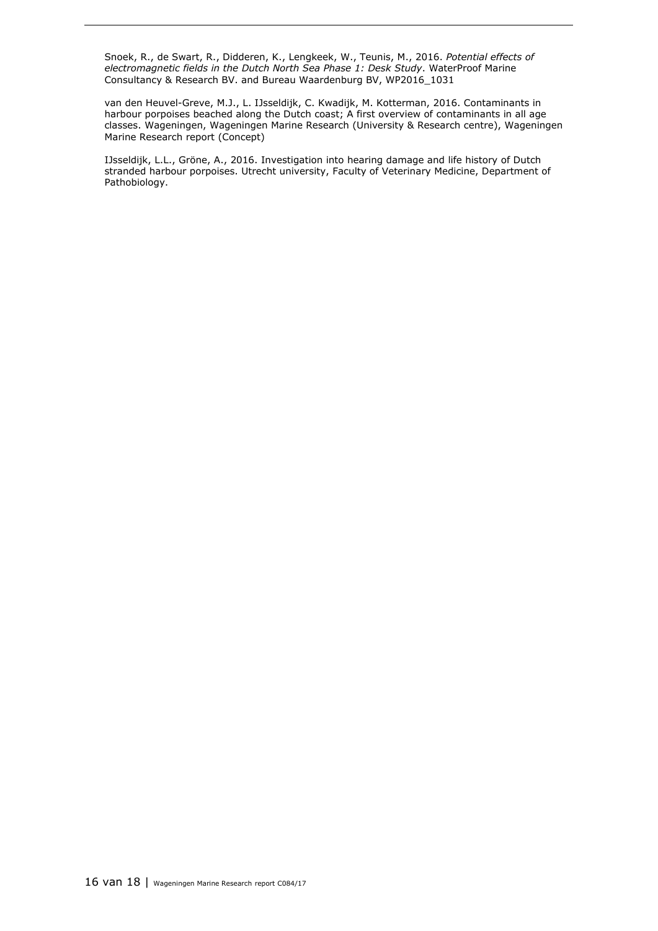Snoek, R., de Swart, R., Didderen, K., Lengkeek, W., Teunis, M., 2016. *Potential effects of electromagnetic fields in the Dutch North Sea Phase 1: Desk Study*. WaterProof Marine Consultancy & Research BV. and Bureau Waardenburg BV, WP2016\_1031

van den Heuvel-Greve, M.J., L. IJsseldijk, C. Kwadijk, M. Kotterman, 2016. Contaminants in harbour porpoises beached along the Dutch coast; A first overview of contaminants in all age classes. Wageningen, Wageningen Marine Research (University & Research centre), Wageningen Marine Research report (Concept)

IJsseldijk, L.L., Gröne, A., 2016. Investigation into hearing damage and life history of Dutch stranded harbour porpoises. Utrecht university, Faculty of Veterinary Medicine, Department of Pathobiology.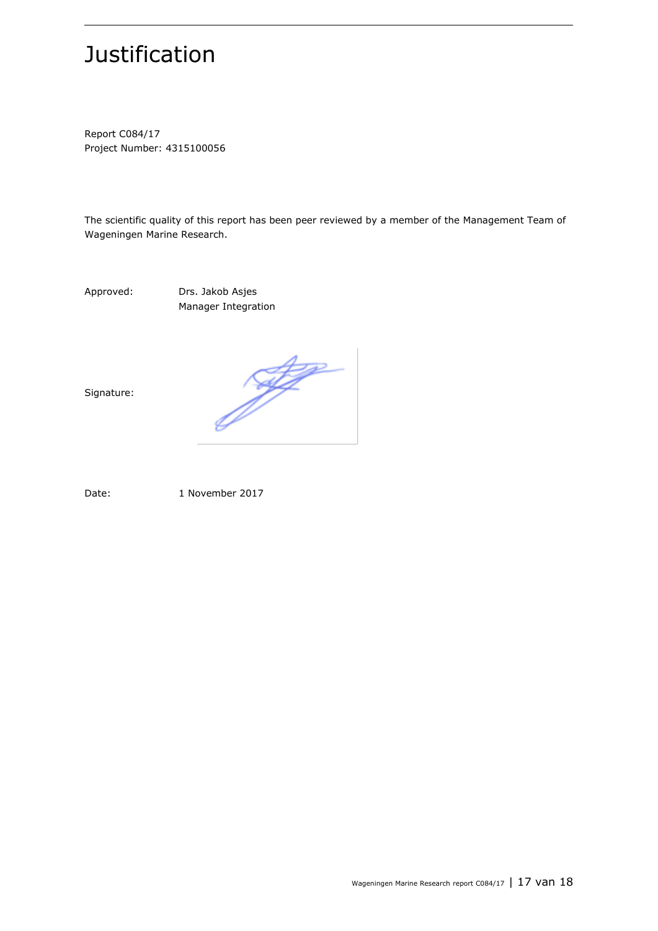## Justification

Report [C084/17](#page-1-1) Project Number: 4315100056

The scientific quality of this report has been peer reviewed by a member of the Management Team of Wageningen Marine Research.

Approved: Drs. Jakob Asjes Manager Integration

Signature:

Japones 1998

Date: 1 November 2017